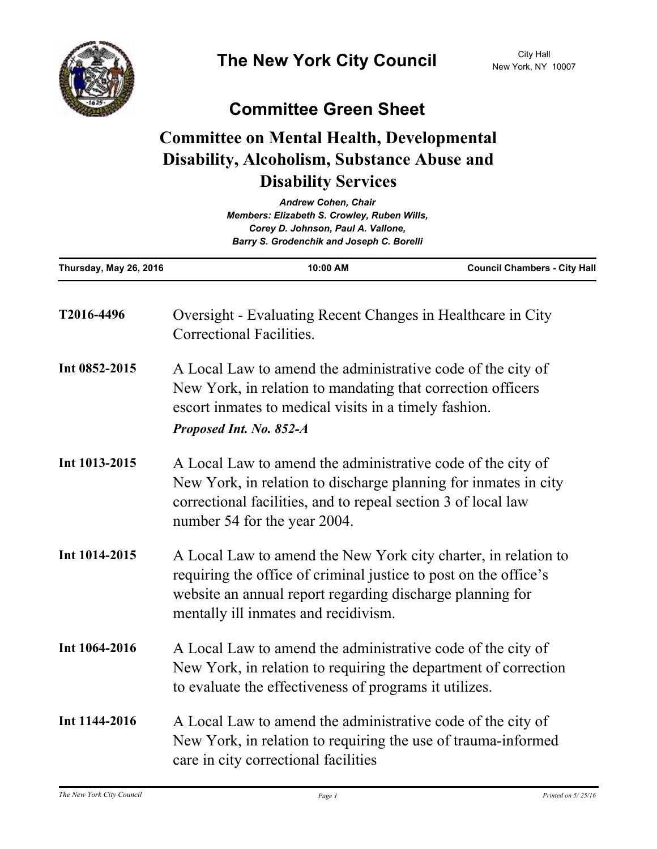

## **Committee Green Sheet**

## **Committee on Mental Health, Developmental Disability, Alcoholism, Substance Abuse and Disability Services**

| <b>Andrew Cohen, Chair</b><br>Members: Elizabeth S. Crowley, Ruben Wills,<br>Corey D. Johnson, Paul A. Vallone,<br>Barry S. Grodenchik and Joseph C. Borelli |                                                                                                                                                                                                                                         |                                     |
|--------------------------------------------------------------------------------------------------------------------------------------------------------------|-----------------------------------------------------------------------------------------------------------------------------------------------------------------------------------------------------------------------------------------|-------------------------------------|
| Thursday, May 26, 2016                                                                                                                                       | 10:00 AM                                                                                                                                                                                                                                | <b>Council Chambers - City Hall</b> |
| T2016-4496                                                                                                                                                   | Oversight - Evaluating Recent Changes in Healthcare in City<br>Correctional Facilities.                                                                                                                                                 |                                     |
| Int 0852-2015                                                                                                                                                | A Local Law to amend the administrative code of the city of<br>New York, in relation to mandating that correction officers<br>escort inmates to medical visits in a timely fashion.<br>Proposed Int. No. 852-A                          |                                     |
| Int 1013-2015                                                                                                                                                | A Local Law to amend the administrative code of the city of<br>New York, in relation to discharge planning for inmates in city<br>correctional facilities, and to repeal section 3 of local law<br>number 54 for the year 2004.         |                                     |
| Int 1014-2015                                                                                                                                                | A Local Law to amend the New York city charter, in relation to<br>requiring the office of criminal justice to post on the office's<br>website an annual report regarding discharge planning for<br>mentally ill inmates and recidivism. |                                     |
| Int 1064-2016                                                                                                                                                | A Local Law to amend the administrative code of the city of<br>New York, in relation to requiring the department of correction<br>to evaluate the effectiveness of programs it utilizes.                                                |                                     |
| Int 1144-2016                                                                                                                                                | A Local Law to amend the administrative code of the city of<br>New York, in relation to requiring the use of trauma-informed<br>care in city correctional facilities                                                                    |                                     |